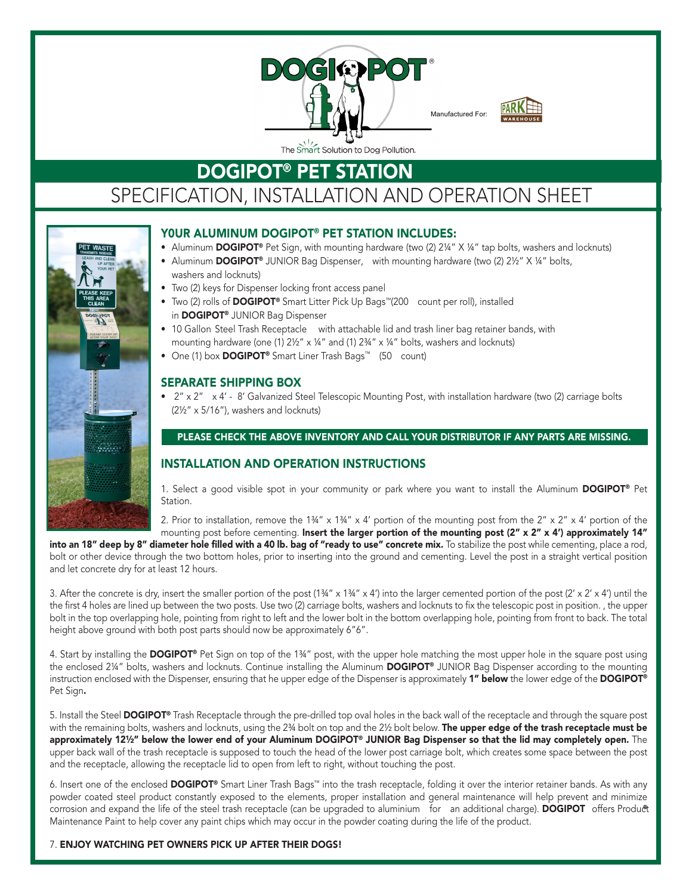



# **DOGIPOT® PET STATION** SPECIFICATION, INSTALLATION AND OPERATION SHEET



### Y0ur Aluminum DOGIPOT® PET STATION INcLuDES:

- Aluminum **DOGIPOT®** Pet Sign, with mounting hardware (two  $(2)$  2¼"  $X$  ¼" tap bolts, washers and locknuts)
- Aluminum DOGIPOT® JUNIOR Bag Dispenser, with mounting hardware (two (2) 2½" X ¼" bolts, washers and locknuts)
- Two (2) keys for Dispenser locking front access panel
- Two (2) rolls of DOGIPOT<sup>®</sup> Smart Litter Pick Up Bags<sup>™</sup>(200 count per roll), installed in DOGIPOT® JUNIOR Bag Dispenser
- 10 Gallon Steel Trash Receptacle with attachable lid and trash liner bag retainer bands, with mounting hardware (one (1) 2½" x ¼" and (1) 2¾" x ¼" bolts, washers and locknuts)
- One (1) box DOGIPOT<sup>®</sup> Smart Liner Trash Bags<sup>™</sup> (50 count)

# SEPArATE SHIPPING BOx

• 2" x 2" x 4' - 8' Galvanized Steel Telescopic Mounting Post, with installation hardware (two (2) carriage bolts (2½" x 5/16"), washers and locknuts)

# PLEASE CHECK THE ABOVE INVENTORY AND CALL YOUR DISTRIBUTOR IF ANY PARTS ARE MISSING.

### INSTALLATION AND OPErATION INSTrucTIONS

1. Select a good visible spot in your community or park where you want to install the Aluminum **DOGIPOT**<sup>®</sup> Pet Station.

2. Prior to installation, remove the  $1\frac{3}{4}$ " x  $4\frac{13}{4}$ " x  $4\frac{1}{4}$  portion of the mounting post from the  $2$ " x  $2$ " x  $4\frac{1}{4}$  portion of the mounting post before cementing. Insert the larger portion of the mounting post (2" x 2" x 4') approximately 14"

into an 18" deep by 8" diameter hole filled with a 40 lb. bag of "ready to use" concrete mix. To stabilize the post while cementing, place a rod, bolt or other device through the two bottom holes, prior to inserting into the ground and cementing. Level the post in a straight vertical position and let concrete dry for at least 12 hours.

3. After the concrete is dry, insert the smaller portion of the post  $(1\frac{3}{4}$ " x  $1\frac{3}{4}$ " x 4') into the larger cemented portion of the post  $(2' \times 2' \times 4')$  until the the first 4 holes are lined up between the two posts. Use two (2) carriage bolts, washers and locknuts to fix the telescopic post in position. , the upper bolt in the top overlapping hole, pointing from right to left and the lower bolt in the bottom overlapping hole, pointing from front to back. The total height above ground with both post parts should now be approximately 6"6".

4. Start by installing the DOGIPOT® Pet Sign on top of the 1¾" post, with the upper hole matching the most upper hole in the square post using the enclosed 2¼" bolts, washers and locknuts. Continue installing the Aluminum **DOGIPOT®** JUNIOR Bag Dispenser according to the mounting instruction enclosed with the Dispenser, ensuring that he upper edge of the Dispenser is approximately 1" below the lower edge of the DOGIPOT® Pet Sign.

5. Install the Steel DOGIPOT® Trash Receptacle through the pre-drilled top oval holes in the back wall of the receptacle and through the square post with the remaining bolts, washers and locknuts, using the 2<sup>3</sup>4 bolt on top and the 2½ bolt below. The upper edge of the trash receptacle must be approximately 12½" below the lower end of your Aluminum DOGIPOT® JUNIOR Bag Dispenser so that the lid may completely open. The upper back wall of the trash receptacle is supposed to touch the head of the lower post carriage bolt, which creates some space between the post and the receptacle, allowing the receptacle lid to open from left to right, without touching the post.

6. Insert one of the enclosed DOGIPOT® Smart Liner Trash Bags™ into the trash receptacle, folding it over the interior retainer bands. As with any powder coated steel product constantly exposed to the elements, proper installation and general maintenance will help prevent and minimize corrosion and expand the life of the steel trash receptacle (can be upgraded to aluminium for an additional charge). DOGIPOT offers Product Maintenance Paint to help cover any paint chips which may occur in the powder coating during the life of the product.

#### 7. ENJOY wATcHING PET OwNErS PIcK uP AFTEr THEIr DOGS!